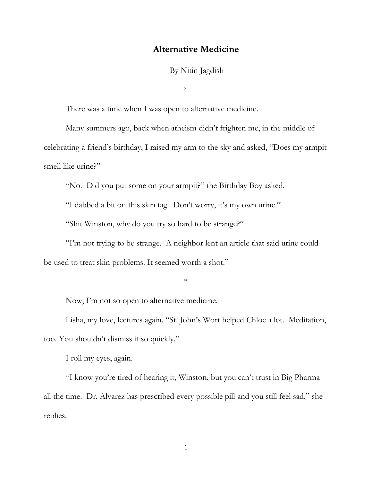## **Alternative Medicine**

By Nitin Jagdish

\*

There was a time when I was open to alternative medicine.

Many summers ago, back when atheism didn't frighten me, in the middle of celebrating a friend's birthday, I raised my arm to the sky and asked, "Does my armpit smell like urine?"

"No. Did you put some on your armpit?" the Birthday Boy asked.

"I dabbed a bit on this skin tag. Don't worry, it's my own urine."

"Shit Winston, why do you try so hard to be strange?"

"I'm not trying to be strange. A neighbor lent an article that said urine could be used to treat skin problems. It seemed worth a shot."

\*

Now, I'm not so open to alternative medicine.

Lisha, my love, lectures again. "St. John's Wort helped Chloe a lot. Meditation, too. You shouldn't dismiss it so quickly."

I roll my eyes, again.

"I know you're tired of hearing it, Winston, but you can't trust in Big Pharma all the time. Dr. Alvarez has prescribed every possible pill and you still feel sad," she replies.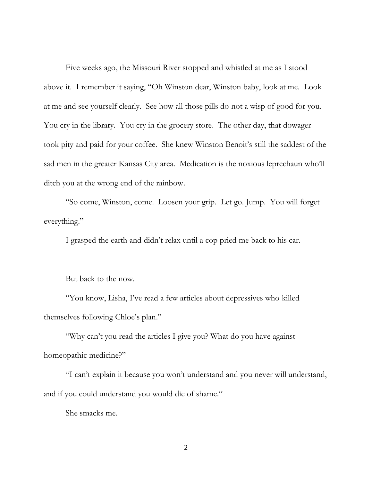Five weeks ago, the Missouri River stopped and whistled at me as I stood above it. I remember it saying, "Oh Winston dear, Winston baby, look at me. Look at me and see yourself clearly. See how all those pills do not a wisp of good for you. You cry in the library. You cry in the grocery store. The other day, that dowager took pity and paid for your coffee. She knew Winston Benoit's still the saddest of the sad men in the greater Kansas City area. Medication is the noxious leprechaun who'll ditch you at the wrong end of the rainbow.

"So come, Winston, come. Loosen your grip. Let go. Jump. You will forget everything."

I grasped the earth and didn't relax until a cop pried me back to his car.

But back to the now.

"You know, Lisha, I've read a few articles about depressives who killed themselves following Chloe's plan."

"Why can't you read the articles I give you? What do you have against homeopathic medicine?"

"I can't explain it because you won't understand and you never will understand, and if you could understand you would die of shame."

She smacks me.